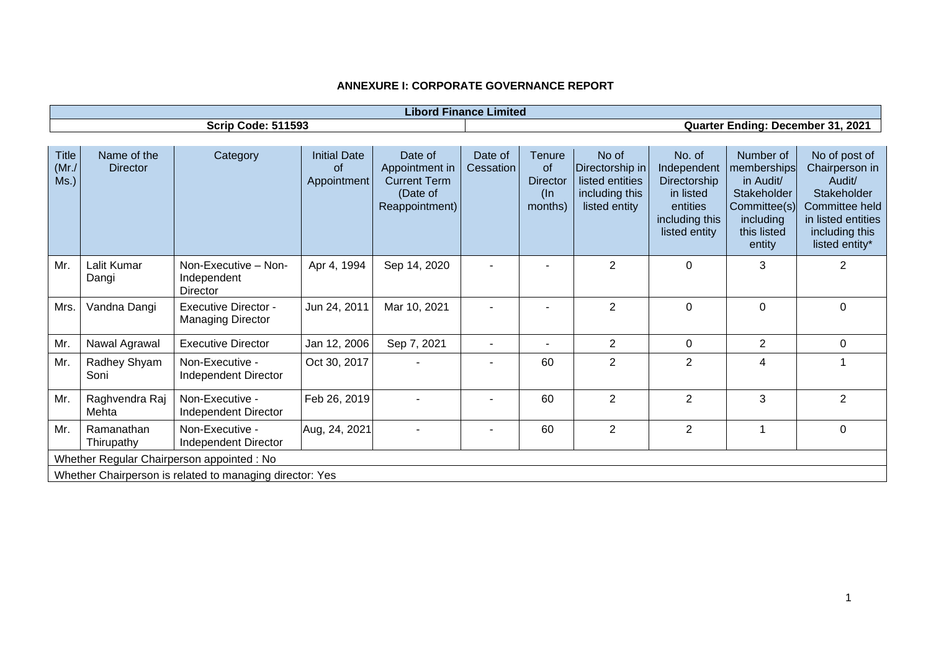| <b>Libord Finance Limited</b>              |                                                          |                                                         |                                                 |                                                                                |                      |                                                                    |                                                                                |                                                                                                   |                                                                                                            |                                                                                                                                      |
|--------------------------------------------|----------------------------------------------------------|---------------------------------------------------------|-------------------------------------------------|--------------------------------------------------------------------------------|----------------------|--------------------------------------------------------------------|--------------------------------------------------------------------------------|---------------------------------------------------------------------------------------------------|------------------------------------------------------------------------------------------------------------|--------------------------------------------------------------------------------------------------------------------------------------|
| <b>Scrip Code: 511593</b>                  |                                                          |                                                         |                                                 | Quarter Ending: December 31, 2021                                              |                      |                                                                    |                                                                                |                                                                                                   |                                                                                                            |                                                                                                                                      |
|                                            |                                                          |                                                         |                                                 |                                                                                |                      |                                                                    |                                                                                |                                                                                                   |                                                                                                            |                                                                                                                                      |
| <b>Title</b><br>$(Mr$ ./<br>Ms.)           | Name of the<br><b>Director</b>                           | Category                                                | <b>Initial Date</b><br><b>of</b><br>Appointment | Date of<br>Appointment in<br><b>Current Term</b><br>(Date of<br>Reappointment) | Date of<br>Cessation | <b>Tenure</b><br><b>of</b><br><b>Director</b><br>$(\ln$<br>months) | No of<br>Directorship in<br>listed entities<br>including this<br>listed entity | No. of<br>Independent<br>Directorship<br>in listed<br>entities<br>including this<br>listed entity | Number of<br>memberships<br>in Audit/<br>Stakeholder<br>Committee(s)<br>including<br>this listed<br>entity | No of post of<br>Chairperson in<br>Audit/<br>Stakeholder<br>Committee held<br>in listed entities<br>including this<br>listed entity* |
| Mr.                                        | Lalit Kumar<br>Dangi                                     | Non-Executive - Non-<br>Independent<br>Director         | Apr 4, 1994                                     | Sep 14, 2020                                                                   |                      |                                                                    | $\overline{2}$                                                                 | 0                                                                                                 | 3                                                                                                          | $\overline{2}$                                                                                                                       |
| Mrs.                                       | Vandna Dangi                                             | <b>Executive Director -</b><br><b>Managing Director</b> | Jun 24, 2011                                    | Mar 10, 2021                                                                   |                      |                                                                    | $\overline{2}$                                                                 | 0                                                                                                 | $\mathbf 0$                                                                                                | $\mathbf 0$                                                                                                                          |
| Mr.                                        | Nawal Agrawal                                            | <b>Executive Director</b>                               | Jan 12, 2006                                    | Sep 7, 2021                                                                    |                      |                                                                    | $\overline{2}$                                                                 | 0                                                                                                 | $\overline{2}$                                                                                             | $\Omega$                                                                                                                             |
| Mr.                                        | Radhey Shyam<br>Soni                                     | Non-Executive -<br>Independent Director                 | Oct 30, 2017                                    |                                                                                |                      | 60                                                                 | $\overline{2}$                                                                 | $\overline{2}$                                                                                    | 4                                                                                                          |                                                                                                                                      |
| Mr.                                        | Raghvendra Raj<br>Mehta                                  | Non-Executive -<br>Independent Director                 | Feb 26, 2019                                    |                                                                                |                      | 60                                                                 | $\overline{2}$                                                                 | $\overline{2}$                                                                                    | 3                                                                                                          | $\overline{2}$                                                                                                                       |
| Mr.                                        | Ramanathan<br>Thirupathy                                 | Non-Executive -<br>Independent Director                 | Aug, 24, 2021                                   |                                                                                |                      | 60                                                                 | $\overline{2}$                                                                 | $\overline{2}$                                                                                    |                                                                                                            | $\mathbf 0$                                                                                                                          |
| Whether Regular Chairperson appointed : No |                                                          |                                                         |                                                 |                                                                                |                      |                                                                    |                                                                                |                                                                                                   |                                                                                                            |                                                                                                                                      |
|                                            | Whether Chairperson is related to managing director: Yes |                                                         |                                                 |                                                                                |                      |                                                                    |                                                                                |                                                                                                   |                                                                                                            |                                                                                                                                      |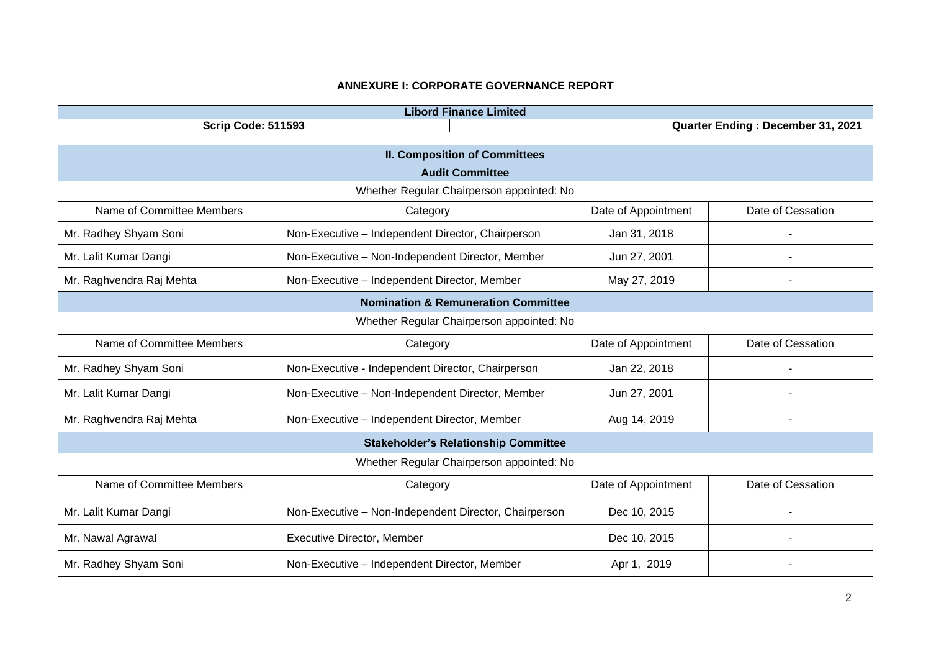| <b>Libord Finance Limited</b>                           |                                                       |                     |                   |  |  |  |  |
|---------------------------------------------------------|-------------------------------------------------------|---------------------|-------------------|--|--|--|--|
| Scrip Code: 511593<br>Quarter Ending: December 31, 2021 |                                                       |                     |                   |  |  |  |  |
| <b>II. Composition of Committees</b>                    |                                                       |                     |                   |  |  |  |  |
| <b>Audit Committee</b>                                  |                                                       |                     |                   |  |  |  |  |
| Whether Regular Chairperson appointed: No               |                                                       |                     |                   |  |  |  |  |
| Name of Committee Members                               | Category                                              | Date of Appointment | Date of Cessation |  |  |  |  |
| Mr. Radhey Shyam Soni                                   | Non-Executive - Independent Director, Chairperson     | Jan 31, 2018        |                   |  |  |  |  |
| Mr. Lalit Kumar Dangi                                   | Non-Executive - Non-Independent Director, Member      | Jun 27, 2001        |                   |  |  |  |  |
| Mr. Raghvendra Raj Mehta                                | Non-Executive - Independent Director, Member          | May 27, 2019        |                   |  |  |  |  |
| <b>Nomination &amp; Remuneration Committee</b>          |                                                       |                     |                   |  |  |  |  |
| Whether Regular Chairperson appointed: No               |                                                       |                     |                   |  |  |  |  |
| Name of Committee Members                               | Category                                              | Date of Appointment | Date of Cessation |  |  |  |  |
| Mr. Radhey Shyam Soni                                   | Non-Executive - Independent Director, Chairperson     | Jan 22, 2018        |                   |  |  |  |  |
| Mr. Lalit Kumar Dangi                                   | Non-Executive - Non-Independent Director, Member      | Jun 27, 2001        |                   |  |  |  |  |
| Mr. Raghvendra Raj Mehta                                | Non-Executive - Independent Director, Member          | Aug 14, 2019        | -                 |  |  |  |  |
| <b>Stakeholder's Relationship Committee</b>             |                                                       |                     |                   |  |  |  |  |
| Whether Regular Chairperson appointed: No               |                                                       |                     |                   |  |  |  |  |
| Name of Committee Members                               | Category                                              | Date of Appointment | Date of Cessation |  |  |  |  |
| Mr. Lalit Kumar Dangi                                   | Non-Executive - Non-Independent Director, Chairperson | Dec 10, 2015        |                   |  |  |  |  |
| Mr. Nawal Agrawal                                       | <b>Executive Director, Member</b>                     | Dec 10, 2015        |                   |  |  |  |  |
| Mr. Radhey Shyam Soni                                   | Non-Executive - Independent Director, Member          | Apr 1, 2019         |                   |  |  |  |  |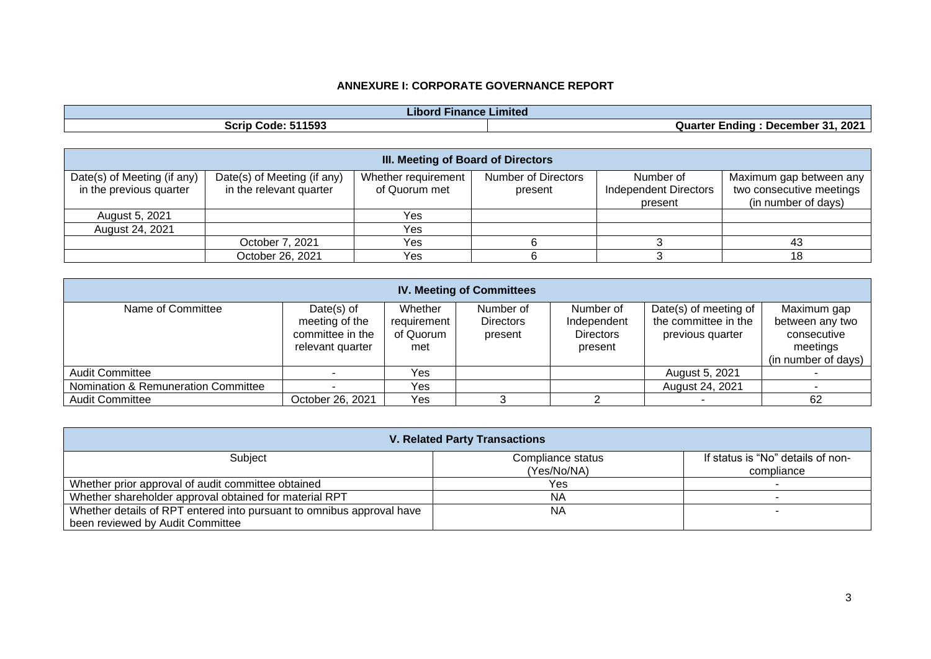| .<br><b>Finance</b><br>e Limited<br>.ıbor |                                                 |  |  |  |
|-------------------------------------------|-------------------------------------------------|--|--|--|
| 11593<br>Scrip<br>Code<br>- -             | . 2021<br>Ω.<br>-ndina<br>Quarter<br>. December |  |  |  |

| <b>III. Meeting of Board of Directors</b> |                             |                     |                     |                              |                          |  |  |  |  |
|-------------------------------------------|-----------------------------|---------------------|---------------------|------------------------------|--------------------------|--|--|--|--|
| Date(s) of Meeting (if any)               | Date(s) of Meeting (if any) | Whether requirement | Number of Directors | Number of                    | Maximum gap between any  |  |  |  |  |
| in the previous quarter                   | in the relevant quarter     | of Quorum met       | present             | <b>Independent Directors</b> | two consecutive meetings |  |  |  |  |
|                                           |                             |                     |                     | present                      | (in number of days)      |  |  |  |  |
| August 5, 2021                            |                             | Yes                 |                     |                              |                          |  |  |  |  |
| August 24, 2021                           |                             | <b>Yes</b>          |                     |                              |                          |  |  |  |  |
|                                           | October 7, 2021             | Yes                 |                     |                              | 43                       |  |  |  |  |
|                                           | October 26, 2021            | Yes                 |                     |                              | 18                       |  |  |  |  |

| <b>IV. Meeting of Committees</b>    |                                                                         |                                            |                                          |                                                         |                                                                   |                                                                                  |  |  |
|-------------------------------------|-------------------------------------------------------------------------|--------------------------------------------|------------------------------------------|---------------------------------------------------------|-------------------------------------------------------------------|----------------------------------------------------------------------------------|--|--|
| Name of Committee                   | Date $(s)$ of<br>meeting of the<br>committee in the<br>relevant quarter | Whether<br>requirement<br>of Quorum<br>met | Number of<br><b>Directors</b><br>present | Number of<br>Independent<br><b>Directors</b><br>present | Date(s) of meeting of<br>the committee in the<br>previous quarter | Maximum gap<br>between any two<br>consecutive<br>meetings<br>(in number of days) |  |  |
| <b>Audit Committee</b>              |                                                                         | Yes                                        |                                          |                                                         | August 5, 2021                                                    |                                                                                  |  |  |
| Nomination & Remuneration Committee |                                                                         | Yes                                        |                                          |                                                         | August 24, 2021                                                   |                                                                                  |  |  |
| <b>Audit Committee</b>              | October 26, 2021                                                        | Yes                                        |                                          |                                                         |                                                                   | 62                                                                               |  |  |

| <b>V. Related Party Transactions</b>                                  |                   |                                   |  |  |  |  |
|-----------------------------------------------------------------------|-------------------|-----------------------------------|--|--|--|--|
| Subject                                                               | Compliance status | If status is "No" details of non- |  |  |  |  |
|                                                                       | (Yes/No/NA)       | compliance                        |  |  |  |  |
| Whether prior approval of audit committee obtained                    | Yes               |                                   |  |  |  |  |
| Whether shareholder approval obtained for material RPT                | ΝA                |                                   |  |  |  |  |
| Whether details of RPT entered into pursuant to omnibus approval have | <b>NA</b>         |                                   |  |  |  |  |
| been reviewed by Audit Committee                                      |                   |                                   |  |  |  |  |